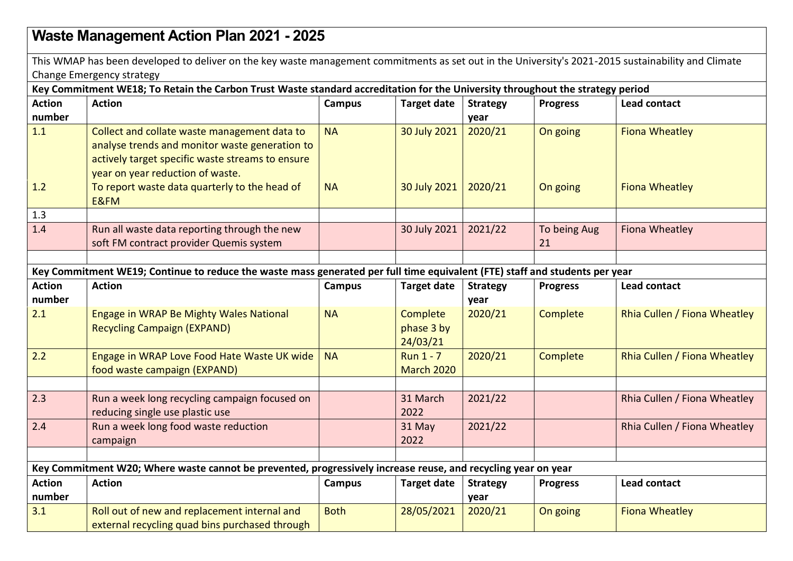## **Waste Management Action Plan 2021 - 2025**

This WMAP has been developed to deliver on the key waste management commitments as set out in the University's 2021-2015 sustainability and Climate Change Emergency strategy

**Key Commitment WE18; To Retain the Carbon Trust Waste standard accreditation for the University throughout the strategy period** 

| <b>Action</b>                                                                                                               | <b>Action</b>                                                                                                                                                                          | <b>Campus</b> | <b>Target date</b>                    | <b>Strategy</b>         | <b>Progress</b>    | Lead contact                 |  |
|-----------------------------------------------------------------------------------------------------------------------------|----------------------------------------------------------------------------------------------------------------------------------------------------------------------------------------|---------------|---------------------------------------|-------------------------|--------------------|------------------------------|--|
| number                                                                                                                      |                                                                                                                                                                                        |               |                                       | year                    |                    |                              |  |
| 1.1                                                                                                                         | Collect and collate waste management data to<br>analyse trends and monitor waste generation to<br>actively target specific waste streams to ensure<br>year on year reduction of waste. | <b>NA</b>     | 30 July 2021                          | 2020/21                 | On going           | <b>Fiona Wheatley</b>        |  |
| 1.2                                                                                                                         | To report waste data quarterly to the head of<br>E&FM                                                                                                                                  | <b>NA</b>     | 30 July 2021                          | 2020/21                 | On going           | <b>Fiona Wheatley</b>        |  |
| 1.3                                                                                                                         |                                                                                                                                                                                        |               |                                       |                         |                    |                              |  |
| 1.4                                                                                                                         | Run all waste data reporting through the new<br>soft FM contract provider Quemis system                                                                                                |               | 30 July 2021                          | 2021/22                 | To being Aug<br>21 | Fiona Wheatley               |  |
|                                                                                                                             |                                                                                                                                                                                        |               |                                       |                         |                    |                              |  |
| Key Commitment WE19; Continue to reduce the waste mass generated per full time equivalent (FTE) staff and students per year |                                                                                                                                                                                        |               |                                       |                         |                    |                              |  |
| <b>Action</b><br>number                                                                                                     | <b>Action</b>                                                                                                                                                                          | <b>Campus</b> | <b>Target date</b>                    | <b>Strategy</b><br>year | <b>Progress</b>    | <b>Lead contact</b>          |  |
| 2.1                                                                                                                         | Engage in WRAP Be Mighty Wales National<br><b>Recycling Campaign (EXPAND)</b>                                                                                                          | <b>NA</b>     | Complete<br>phase 3 by<br>24/03/21    | 2020/21                 | Complete           | Rhia Cullen / Fiona Wheatley |  |
| 2.2                                                                                                                         | Engage in WRAP Love Food Hate Waste UK wide<br>food waste campaign (EXPAND)                                                                                                            | <b>NA</b>     | <b>Run 1 - 7</b><br><b>March 2020</b> | 2020/21                 | Complete           | Rhia Cullen / Fiona Wheatley |  |
|                                                                                                                             |                                                                                                                                                                                        |               |                                       |                         |                    |                              |  |
| 2.3                                                                                                                         | Run a week long recycling campaign focused on<br>reducing single use plastic use                                                                                                       |               | 31 March<br>2022                      | 2021/22                 |                    | Rhia Cullen / Fiona Wheatley |  |
| 2.4                                                                                                                         | Run a week long food waste reduction<br>campaign                                                                                                                                       |               | 31 May<br>2022                        | 2021/22                 |                    | Rhia Cullen / Fiona Wheatley |  |
|                                                                                                                             |                                                                                                                                                                                        |               |                                       |                         |                    |                              |  |
| Key Commitment W20; Where waste cannot be prevented, progressively increase reuse, and recycling year on year               |                                                                                                                                                                                        |               |                                       |                         |                    |                              |  |
| <b>Action</b><br>number                                                                                                     | <b>Action</b>                                                                                                                                                                          | Campus        | <b>Target date</b>                    | <b>Strategy</b><br>year | <b>Progress</b>    | Lead contact                 |  |
| 3.1                                                                                                                         | Roll out of new and replacement internal and<br>external recycling quad bins purchased through                                                                                         | <b>Both</b>   | 28/05/2021                            | 2020/21                 | On going           | <b>Fiona Wheatley</b>        |  |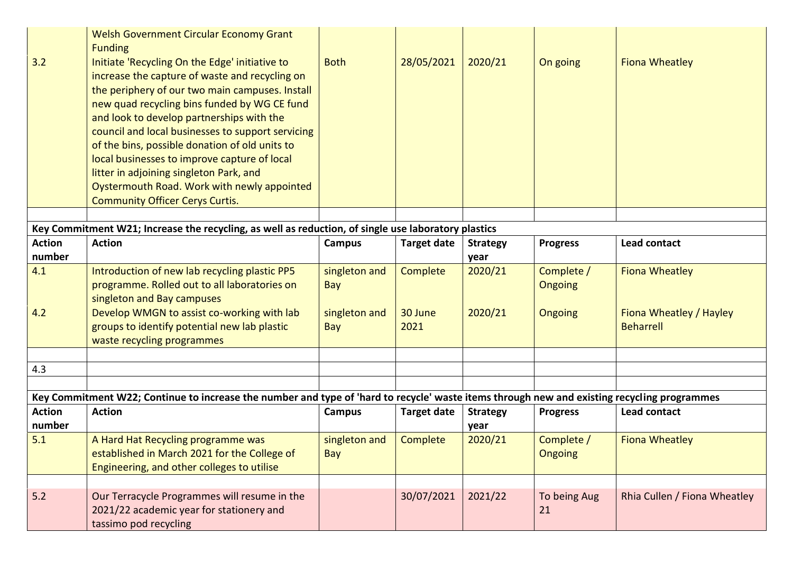|                                                                                                                                             | <b>Welsh Government Circular Economy Grant</b>    |               |                    |                 |                 |                              |  |  |
|---------------------------------------------------------------------------------------------------------------------------------------------|---------------------------------------------------|---------------|--------------------|-----------------|-----------------|------------------------------|--|--|
|                                                                                                                                             | <b>Funding</b>                                    |               |                    |                 |                 |                              |  |  |
| 3.2                                                                                                                                         | Initiate 'Recycling On the Edge' initiative to    | <b>Both</b>   | 28/05/2021         | 2020/21         | On going        | <b>Fiona Wheatley</b>        |  |  |
|                                                                                                                                             | increase the capture of waste and recycling on    |               |                    |                 |                 |                              |  |  |
|                                                                                                                                             | the periphery of our two main campuses. Install   |               |                    |                 |                 |                              |  |  |
|                                                                                                                                             | new quad recycling bins funded by WG CE fund      |               |                    |                 |                 |                              |  |  |
|                                                                                                                                             | and look to develop partnerships with the         |               |                    |                 |                 |                              |  |  |
|                                                                                                                                             | council and local businesses to support servicing |               |                    |                 |                 |                              |  |  |
|                                                                                                                                             | of the bins, possible donation of old units to    |               |                    |                 |                 |                              |  |  |
|                                                                                                                                             | local businesses to improve capture of local      |               |                    |                 |                 |                              |  |  |
|                                                                                                                                             | litter in adjoining singleton Park, and           |               |                    |                 |                 |                              |  |  |
|                                                                                                                                             | Oystermouth Road. Work with newly appointed       |               |                    |                 |                 |                              |  |  |
|                                                                                                                                             | <b>Community Officer Cerys Curtis.</b>            |               |                    |                 |                 |                              |  |  |
|                                                                                                                                             |                                                   |               |                    |                 |                 |                              |  |  |
| Key Commitment W21; Increase the recycling, as well as reduction, of single use laboratory plastics                                         |                                                   |               |                    |                 |                 |                              |  |  |
| <b>Action</b>                                                                                                                               | <b>Action</b>                                     | Campus        | <b>Target date</b> | <b>Strategy</b> | <b>Progress</b> | <b>Lead contact</b>          |  |  |
| number                                                                                                                                      |                                                   |               |                    | year            |                 |                              |  |  |
| 4.1                                                                                                                                         | Introduction of new lab recycling plastic PP5     | singleton and | Complete           | 2020/21         | Complete /      | <b>Fiona Wheatley</b>        |  |  |
|                                                                                                                                             | programme. Rolled out to all laboratories on      | Bay           |                    |                 | <b>Ongoing</b>  |                              |  |  |
|                                                                                                                                             | singleton and Bay campuses                        |               |                    |                 |                 |                              |  |  |
| 4.2                                                                                                                                         | Develop WMGN to assist co-working with lab        | singleton and | 30 June            | 2020/21         | <b>Ongoing</b>  | Fiona Wheatley / Hayley      |  |  |
|                                                                                                                                             | groups to identify potential new lab plastic      | Bay           | 2021               |                 |                 | <b>Beharrell</b>             |  |  |
|                                                                                                                                             | waste recycling programmes                        |               |                    |                 |                 |                              |  |  |
|                                                                                                                                             |                                                   |               |                    |                 |                 |                              |  |  |
| 4.3                                                                                                                                         |                                                   |               |                    |                 |                 |                              |  |  |
|                                                                                                                                             |                                                   |               |                    |                 |                 |                              |  |  |
| Key Commitment W22; Continue to increase the number and type of 'hard to recycle' waste items through new and existing recycling programmes |                                                   |               |                    |                 |                 |                              |  |  |
| <b>Action</b>                                                                                                                               | <b>Action</b>                                     | Campus        | <b>Target date</b> | <b>Strategy</b> | <b>Progress</b> | <b>Lead contact</b>          |  |  |
| number                                                                                                                                      |                                                   |               |                    | year            |                 |                              |  |  |
| 5.1                                                                                                                                         | A Hard Hat Recycling programme was                | singleton and | Complete           | 2020/21         | Complete /      | <b>Fiona Wheatley</b>        |  |  |
|                                                                                                                                             | established in March 2021 for the College of      | Bay           |                    |                 | Ongoing         |                              |  |  |
|                                                                                                                                             | Engineering, and other colleges to utilise        |               |                    |                 |                 |                              |  |  |
|                                                                                                                                             |                                                   |               |                    |                 |                 |                              |  |  |
| 5.2                                                                                                                                         | Our Terracycle Programmes will resume in the      |               | 30/07/2021         | 2021/22         | To being Aug    | Rhia Cullen / Fiona Wheatley |  |  |
|                                                                                                                                             | 2021/22 academic year for stationery and          |               |                    |                 | 21              |                              |  |  |
|                                                                                                                                             | tassimo pod recycling                             |               |                    |                 |                 |                              |  |  |